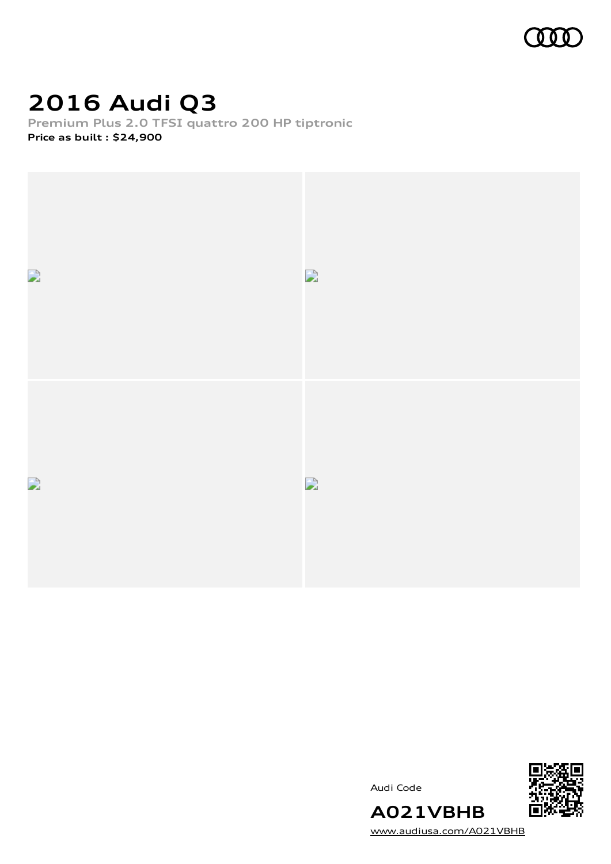

# **2016 Audi Q3**

**Premium Plus 2.0 TFSI quattro 200 HP tiptronic Price as built [:](#page-9-0) \$24,900**



Audi Code



[www.audiusa.com/A021VBHB](https://www.audiusa.com/A021VBHB)

**A021VBHB**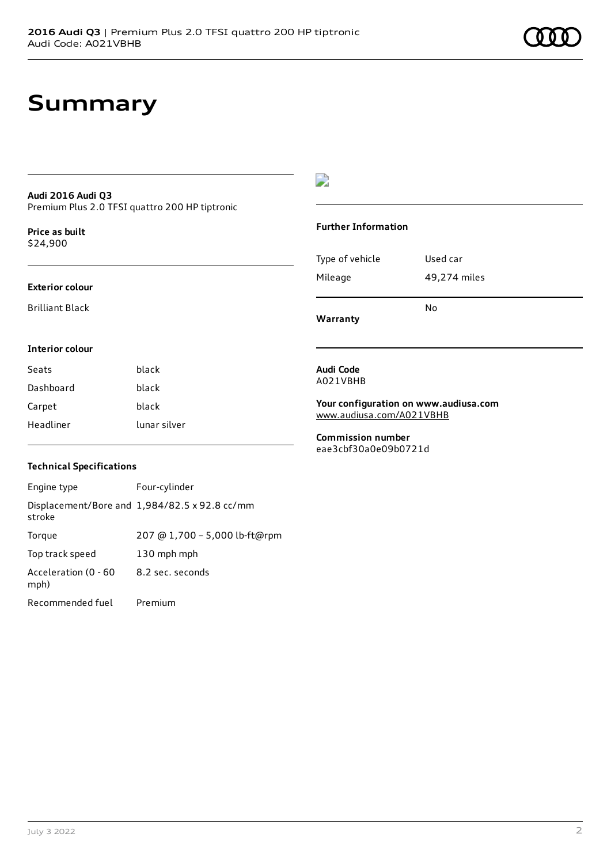## **Summary**

### **Audi 2016 Audi Q3** Premium Plus 2.0 TFSI quattro 200 HP tiptronic

**Price as buil[t](#page-9-0)** \$24,900

#### **Exterior colour**

Brilliant Black

## $\overline{\phantom{a}}$

### **Further Information**

|                 | N٥           |  |
|-----------------|--------------|--|
| Mileage         | 49,274 miles |  |
| Type of vehicle | Used car     |  |

**Warranty**

## **Interior colour**

| Seats     | black        |
|-----------|--------------|
| Dashboard | black        |
| Carpet    | black        |
| Headliner | lunar silver |

#### **Audi Code** A021VBHB

**Your configuration on www.audiusa.com** [www.audiusa.com/A021VBHB](https://www.audiusa.com/A021VBHB)

**Commission number** eae3cbf30a0e09b0721d

### **Technical Specifications**

| Engine type                  | Four-cylinder                                 |
|------------------------------|-----------------------------------------------|
| stroke                       | Displacement/Bore and 1,984/82.5 x 92.8 cc/mm |
| Torque                       | 207 @ 1,700 - 5,000 lb-ft@rpm                 |
| Top track speed              | 130 mph mph                                   |
| Acceleration (0 - 60<br>mph) | 8.2 sec. seconds                              |
| Recommended fuel             | Premium                                       |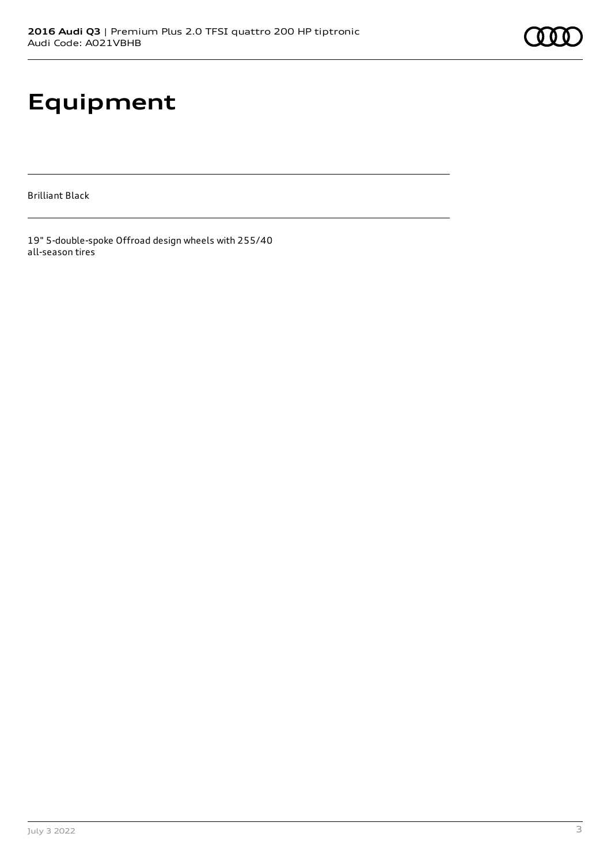# **Equipment**

Brilliant Black

19" 5-double-spoke Offroad design wheels with 255/40 all-season tires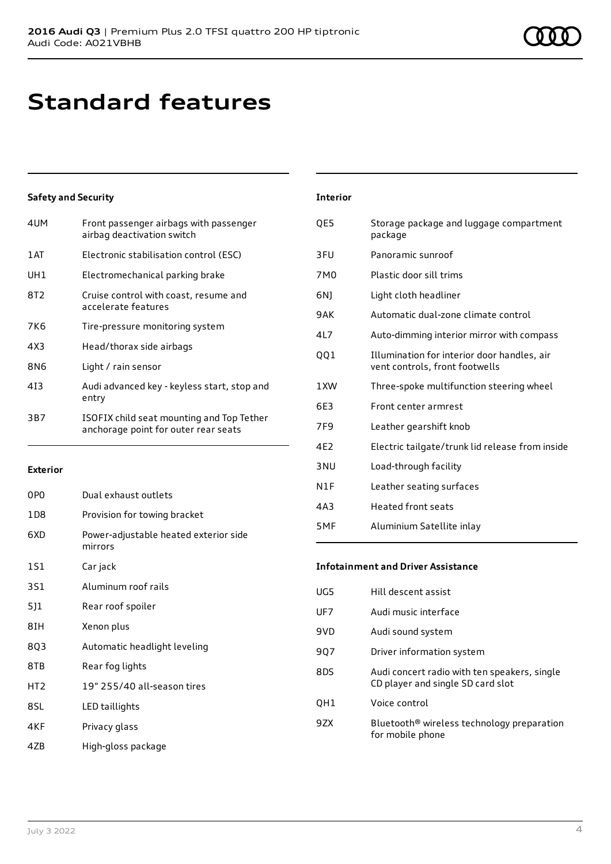## **Standard features**

## **Safety and Security**

| 4UM             | Front passenger airbags with passenger<br>airbag deactivation switch              |
|-----------------|-----------------------------------------------------------------------------------|
| 1 AT            | Electronic stabilisation control (ESC)                                            |
| UH1             | Electromechanical parking brake                                                   |
| 8T <sub>2</sub> | Cruise control with coast, resume and<br>accelerate features                      |
| 7K6             | Tire-pressure monitoring system                                                   |
| 4X3             | Head/thorax side airbags                                                          |
| 8N6             | Light / rain sensor                                                               |
| 413             | Audi advanced key - keyless start, stop and<br>entry                              |
| 3B7             | ISOFIX child seat mounting and Top Tether<br>anchorage point for outer rear seats |

#### **Exterior**

| 0PO             | Dual exhaust outlets                             |
|-----------------|--------------------------------------------------|
| 1 D 8           | Provision for towing bracket                     |
| 6XD             | Power-adjustable heated exterior side<br>mirrors |
| 151             | Car jack                                         |
| 3S1             | Aluminum roof rails                              |
| 5]1             | Rear roof spoiler                                |
| 8IH             | Xenon plus                                       |
| 8Q3             | Automatic headlight leveling                     |
| 8TB             | Rear fog lights                                  |
| HT <sub>2</sub> | 19" 255/40 all-season tires                      |
| 8SL             | LED taillights                                   |
| 4KF             | Privacy glass                                    |
| 47B             | High-gloss package                               |

| <b>Interior</b> |                                                                               |
|-----------------|-------------------------------------------------------------------------------|
| QE5             | Storage package and luggage compartment<br>package                            |
| 3FU             | Panoramic sunroof                                                             |
| 7M <sub>0</sub> | Plastic door sill trims                                                       |
| 6N)             | Light cloth headliner                                                         |
| 9AK             | Automatic dual-zone climate control                                           |
| 4L7             | Auto-dimming interior mirror with compass                                     |
| QQ1             | Illumination for interior door handles, air<br>vent controls, front footwells |
| 1XW             | Three-spoke multifunction steering wheel                                      |
| 6E3             | Front center armrest                                                          |
| 7F <sub>9</sub> | Leather gearshift knob                                                        |
| 4E2             | Electric tailgate/trunk lid release from inside                               |
| 3 NU            | Load-through facility                                                         |
| N1F             | Leather seating surfaces                                                      |
| 4A3             | <b>Heated front seats</b>                                                     |
| 5MF             | Aluminium Satellite inlay                                                     |

### **Infotainment and Driver Assistance**

| UG5             | Hill descent assist                                                               |
|-----------------|-----------------------------------------------------------------------------------|
| UF <sub>7</sub> | Audi music interface                                                              |
| 9VD             | Audi sound system                                                                 |
| 907             | Driver information system                                                         |
| 8DS             | Audi concert radio with ten speakers, single<br>CD player and single SD card slot |
| OH1             | Voice control                                                                     |
| 97X             | Bluetooth <sup>®</sup> wireless technology preparation<br>for mobile phone        |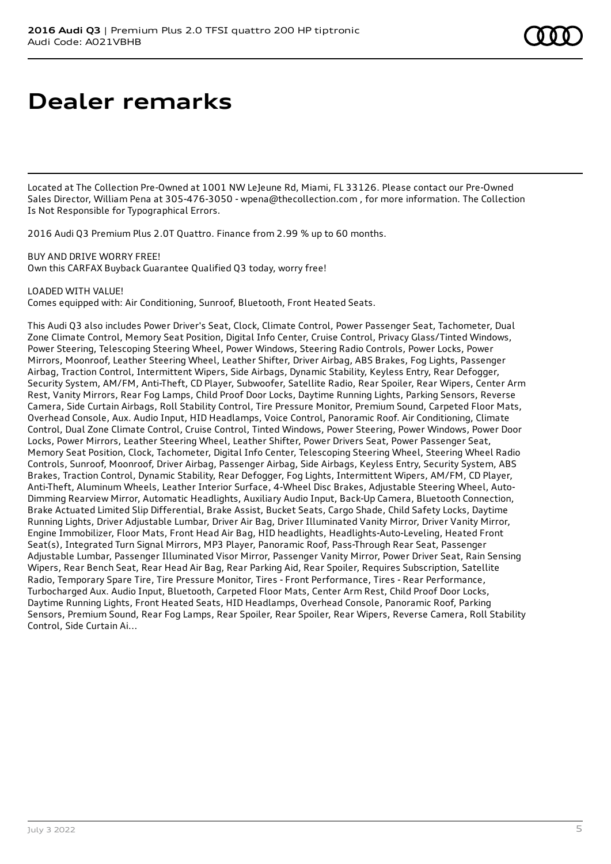## **Dealer remarks**

Located at The Collection Pre-Owned at 1001 NW LeJeune Rd. Miami, FL 33126. Please contact our Pre-Owned Sales Director, William Pena at 305-476-3050 - wpena@thecollection.com , for more information. The Collection Is Not Responsible for Typographical Errors.

2016 Audi Q3 Premium Plus 2.0T Quattro. Finance from 2.99 % up to 60 months.

BUY AND DRIVE WORRY FREE! Own this CARFAX Buyback Guarantee Qualified Q3 today, worry free!

LOADED WITH VALUE!

Comes equipped with: Air Conditioning, Sunroof, Bluetooth, Front Heated Seats.

This Audi Q3 also includes Power Driver's Seat, Clock, Climate Control, Power Passenger Seat, Tachometer, Dual Zone Climate Control, Memory Seat Position, Digital Info Center, Cruise Control, Privacy Glass/Tinted Windows, Power Steering, Telescoping Steering Wheel, Power Windows, Steering Radio Controls, Power Locks, Power Mirrors, Moonroof, Leather Steering Wheel, Leather Shifter, Driver Airbag, ABS Brakes, Fog Lights, Passenger Airbag, Traction Control, Intermittent Wipers, Side Airbags, Dynamic Stability, Keyless Entry, Rear Defogger, Security System, AM/FM, Anti-Theft, CD Player, Subwoofer, Satellite Radio, Rear Spoiler, Rear Wipers, Center Arm Rest, Vanity Mirrors, Rear Fog Lamps, Child Proof Door Locks, Daytime Running Lights, Parking Sensors, Reverse Camera, Side Curtain Airbags, Roll Stability Control, Tire Pressure Monitor, Premium Sound, Carpeted Floor Mats, Overhead Console, Aux. Audio Input, HID Headlamps, Voice Control, Panoramic Roof. Air Conditioning, Climate Control, Dual Zone Climate Control, Cruise Control, Tinted Windows, Power Steering, Power Windows, Power Door Locks, Power Mirrors, Leather Steering Wheel, Leather Shifter, Power Drivers Seat, Power Passenger Seat, Memory Seat Position, Clock, Tachometer, Digital Info Center, Telescoping Steering Wheel, Steering Wheel Radio Controls, Sunroof, Moonroof, Driver Airbag, Passenger Airbag, Side Airbags, Keyless Entry, Security System, ABS Brakes, Traction Control, Dynamic Stability, Rear Defogger, Fog Lights, Intermittent Wipers, AM/FM, CD Player, Anti-Theft, Aluminum Wheels, Leather Interior Surface, 4-Wheel Disc Brakes, Adjustable Steering Wheel, Auto-Dimming Rearview Mirror, Automatic Headlights, Auxiliary Audio Input, Back-Up Camera, Bluetooth Connection, Brake Actuated Limited Slip Differential, Brake Assist, Bucket Seats, Cargo Shade, Child Safety Locks, Daytime Running Lights, Driver Adjustable Lumbar, Driver Air Bag, Driver Illuminated Vanity Mirror, Driver Vanity Mirror, Engine Immobilizer, Floor Mats, Front Head Air Bag, HID headlights, Headlights-Auto-Leveling, Heated Front Seat(s), Integrated Turn Signal Mirrors, MP3 Player, Panoramic Roof, Pass-Through Rear Seat, Passenger Adjustable Lumbar, Passenger Illuminated Visor Mirror, Passenger Vanity Mirror, Power Driver Seat, Rain Sensing Wipers, Rear Bench Seat, Rear Head Air Bag, Rear Parking Aid, Rear Spoiler, Requires Subscription, Satellite Radio, Temporary Spare Tire, Tire Pressure Monitor, Tires - Front Performance, Tires - Rear Performance, Turbocharged Aux. Audio Input, Bluetooth, Carpeted Floor Mats, Center Arm Rest, Child Proof Door Locks, Daytime Running Lights, Front Heated Seats, HID Headlamps, Overhead Console, Panoramic Roof, Parking Sensors, Premium Sound, Rear Fog Lamps, Rear Spoiler, Rear Spoiler, Rear Wipers, Reverse Camera, Roll Stability Control, Side Curtain Ai...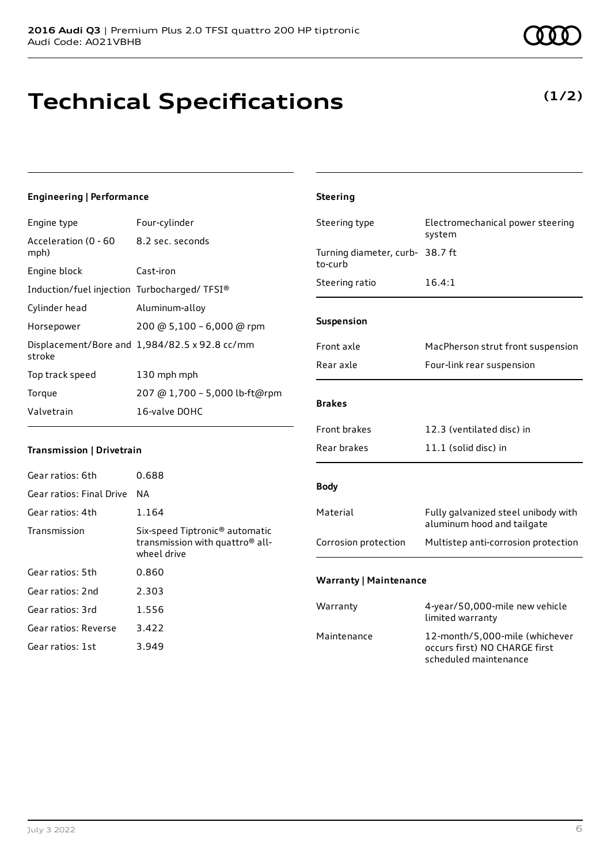# **Technical Specifications**

**Engineering | Performance**

July 3 2022 6

| Engine type                                 | Four-cylinder                                                                                            | Steering type                   | Electromechanical power steering                                  |
|---------------------------------------------|----------------------------------------------------------------------------------------------------------|---------------------------------|-------------------------------------------------------------------|
| Acceleration (0 - 60<br>mph)                | 8.2 sec. seconds                                                                                         | Turning diameter, curb- 38.7 ft | system                                                            |
| Engine block                                | Cast-iron                                                                                                | to-curb                         |                                                                   |
| Induction/fuel injection Turbocharged/TFSI® |                                                                                                          | Steering ratio                  | 16.4:1                                                            |
| Cylinder head                               | Aluminum-alloy                                                                                           |                                 |                                                                   |
| Horsepower                                  | 200 @ 5,100 - 6,000 @ rpm                                                                                | Suspension                      |                                                                   |
| stroke                                      | Displacement/Bore and 1,984/82.5 x 92.8 cc/mm                                                            | Front axle<br>Rear axle         | MacPherson strut front suspension                                 |
| Top track speed                             | 130 mph mph                                                                                              |                                 | Four-link rear suspension                                         |
| Torque                                      | 207 @ 1,700 - 5,000 lb-ft@rpm                                                                            |                                 |                                                                   |
| Valvetrain                                  | 16-valve DOHC                                                                                            | <b>Brakes</b>                   |                                                                   |
|                                             |                                                                                                          | Front brakes                    | 12.3 (ventilated disc) in                                         |
| Transmission   Drivetrain                   |                                                                                                          | Rear brakes                     | 11.1 (solid disc) in                                              |
| Gear ratios: 6th                            | 0.688                                                                                                    |                                 |                                                                   |
| Gear ratios: Final Drive                    | <b>NA</b>                                                                                                | <b>Body</b>                     |                                                                   |
| Gear ratios: 4th                            | 1.164                                                                                                    | Material                        | Fully galvanized steel unibody with                               |
| Transmission                                | Six-speed Tiptronic <sup>®</sup> automatic<br>transmission with quattro <sup>®</sup> all-<br>wheel drive | Corrosion protection            | aluminum hood and tailgate<br>Multistep anti-corrosion protection |
| Gear ratios: 5th                            | 0.860                                                                                                    | <b>Warranty   Maintenance</b>   |                                                                   |
| Gear ratios: 2nd                            | 2.303                                                                                                    |                                 |                                                                   |
| Gear ratios: 3rd                            | 1.556                                                                                                    | Warranty                        | 4-year/50,000-mile new vehicle<br>limited warranty                |
| Gear ratios: Reverse                        | 3.422                                                                                                    | Maintenance                     | 12-month/5,000-mile (whichever                                    |
| Gear ratios: 1st                            | 3.949                                                                                                    |                                 | occurs first) NO CHARGE first                                     |

**Steering**

scheduled maintenance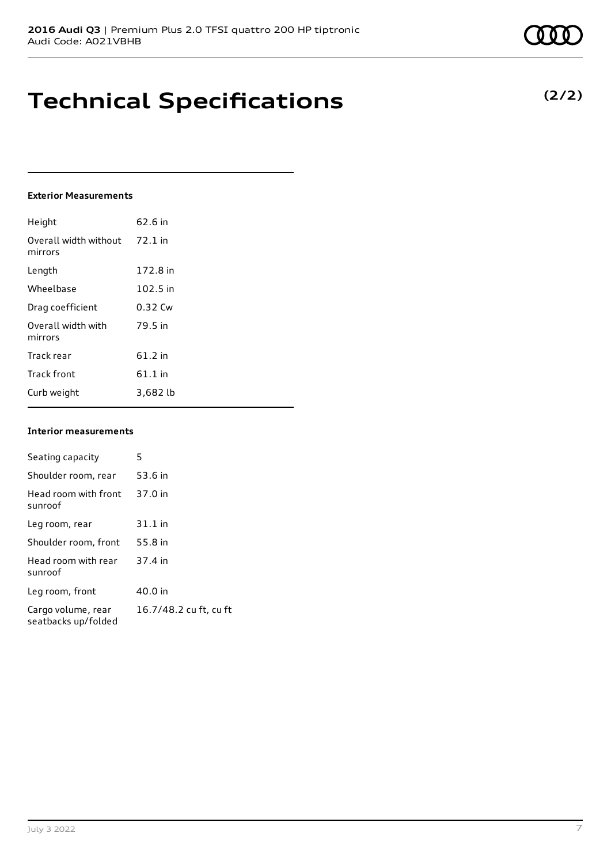## **Technical Specifications**

### **Exterior Measurements**

| Height                           | 62.6 in   |
|----------------------------------|-----------|
| Overall width without<br>mirrors | $72.1$ in |
| Length                           | 172.8 in  |
| Wheelbase                        | 102.5 in  |
| Drag coefficient                 | 0.32 Cw   |
| Overall width with<br>mirrors    | 79.5 in   |
| Track rear                       | $61.2$ in |
| <b>Track front</b>               | $61.1$ in |
| Curb weight                      | 3,682 lb  |

### **Interior measurements**

| Seating capacity                          | 5                      |
|-------------------------------------------|------------------------|
| Shoulder room, rear                       | 53.6 in                |
| Head room with front<br>sunroof           | 37.0 in                |
| Leg room, rear                            | $31.1$ in              |
| Shoulder room, front                      | 55.8 in                |
| Head room with rear<br>sunroof            | 37.4 in                |
| Leg room, front                           | 40.0 in                |
| Cargo volume, rear<br>seatbacks up/folded | 16.7/48.2 cu ft, cu ft |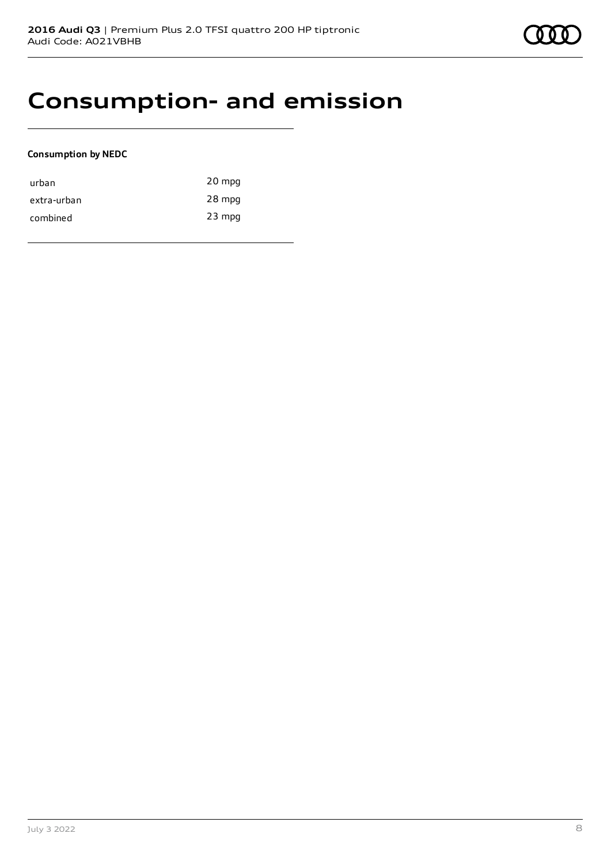## **Consumption- and emission**

### **Consumption by NEDC**

| urban       | 20 mpg   |
|-------------|----------|
| extra-urban | 28 mpg   |
| combined    | $23$ mpg |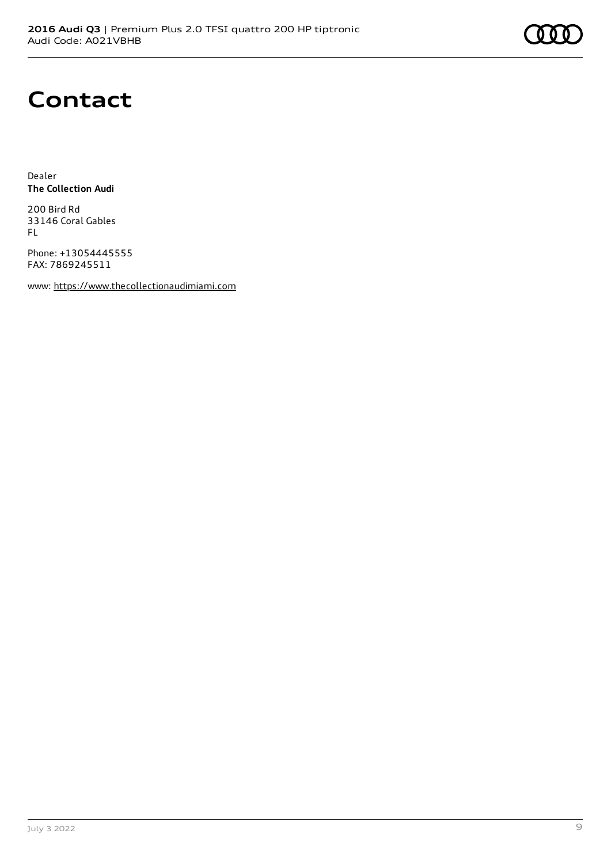## **Contact**

Dealer **The Collection Audi**

200 Bird Rd 33146 Coral Gables FL

Phone: +13054445555 FAX: 7869245511

www: [https://www.thecollectionaudimiami.com](https://www.thecollectionaudimiami.com/)